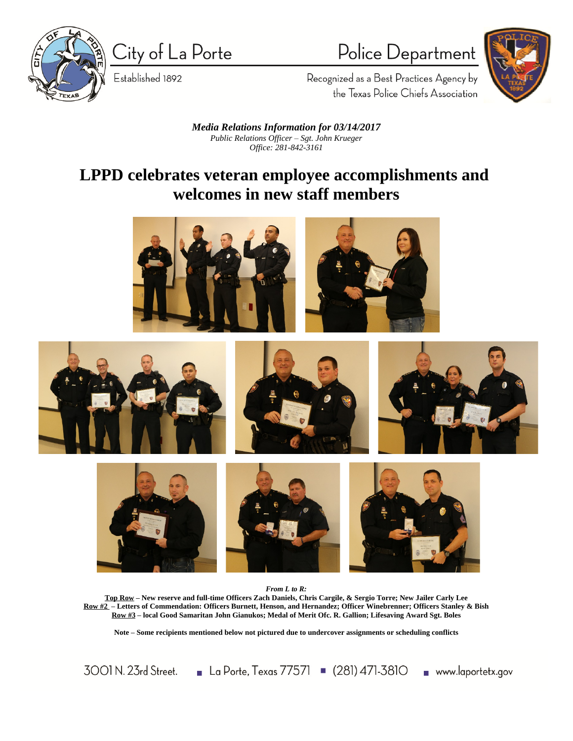

City of La Porte

Established 1892

Police Department



Recognized as a Best Practices Agency by the Texas Police Chiefs Association

*Media Relations Information for 03/14/2017 Public Relations Officer – Sgt. John Krueger Office: 281-842-3161*

## **LPPD celebrates veteran employee accomplishments and welcomes in new staff members**













*From L to R:*

**Top Row – New reserve and full-time Officers Zach Daniels, Chris Cargile, & Sergio Torre; New Jailer Carly Lee Row #2 – Letters of Commendation: Officers Burnett, Henson, and Hernandez; Officer Winebrenner; Officers Stanley & Bish Row #3 – local Good Samaritan John Gianukos; Medal of Merit Ofc. R. Gallion; Lifesaving Award Sgt. Boles**

**Note – Some recipients mentioned below not pictured due to undercover assignments or scheduling conflicts**

3001 N. 23rd Street. La Porte, Texas 77571 (281) 471-3810 www.laportetx.gov